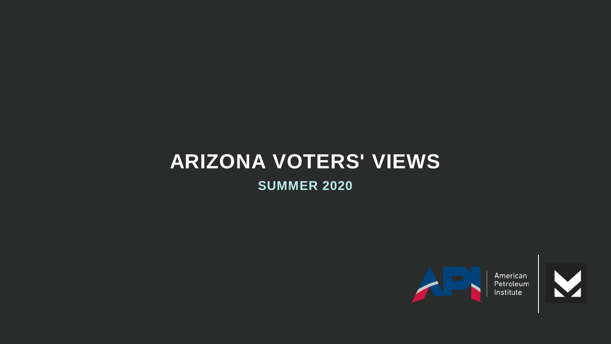# **ARIZONA VOTERS' VIEWS**

**SUMMER 2020**



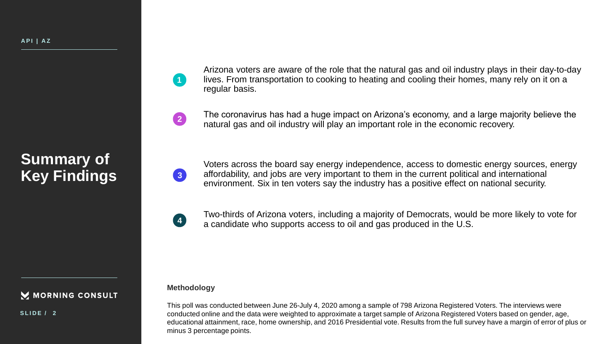### **Summary of Key Findings**

Arizona voters are aware of the role that the natural gas and oil industry plays in their day-to-day lives. From transportation to cooking to heating and cooling their homes, many rely on it on a regular basis.

**2**

**1**

The coronavirus has had a huge impact on Arizona's economy, and a large majority believe the natural gas and oil industry will play an important role in the economic recovery.

Voters across the board say energy independence, access to domestic energy sources, energy affordability, and jobs are very important to them in the current political and international environment. Six in ten voters say the industry has a positive effect on national security.



**3**

Two-thirds of Arizona voters, including a majority of Democrats, would be more likely to vote for a candidate who supports access to oil and gas produced in the U.S.

#### M MORNING CONSULT

**S L I D E / 2**

**Methodology**

This poll was conducted between June 26-July 4, 2020 among a sample of 798 Arizona Registered Voters. The interviews were conducted online and the data were weighted to approximate a target sample of Arizona Registered Voters based on gender, age, educational attainment, race, home ownership, and 2016 Presidential vote. Results from the full survey have a margin of error of plus or minus 3 percentage points.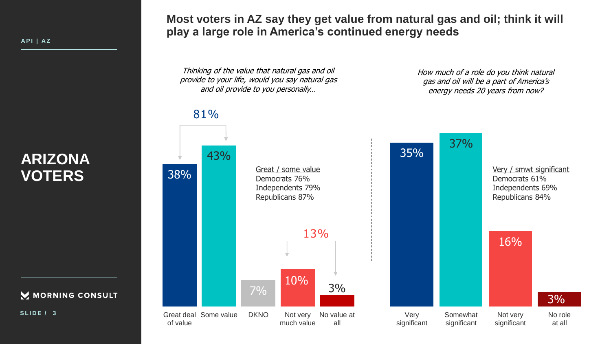FMC1\_1 **A P I | A Z**

### **ARIZONA VOTERS**



**S L I D E / 3**

**Most voters in AZ say they get value from natural gas and oil; think it will play a large role in America's continued energy needs**

Thinking of the value that natural gas and oil provide to your life, would you say natural gas and oil provide to you personally…

How much of a role do you think natural gas and oil will be a part of America's energy needs 20 years from now?

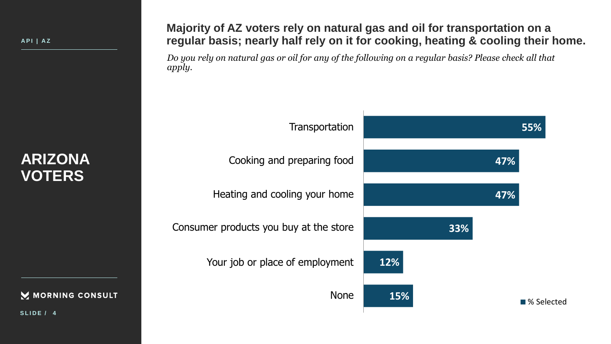MORNING CONSULT

**S L I D E / 4**

**Majority of AZ voters rely on natural gas and oil for transportation on a regular basis; nearly half rely on it for cooking, heating & cooling their home.**

*Do you rely on natural gas or oil for any of the following on a regular basis? Please check all that apply.*

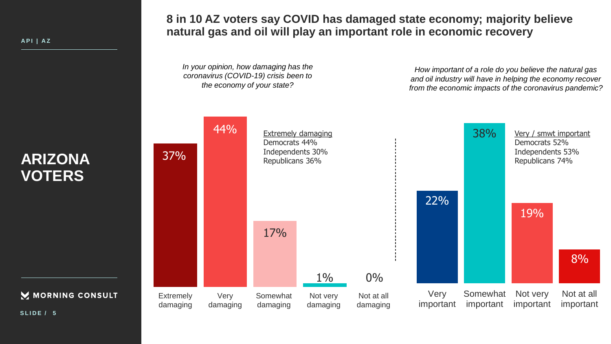M MORNING CONSULT

**8 in 10 AZ voters say COVID has damaged state economy; majority believe natural gas and oil will play an important role in economic recovery**

*In your opinion, how damaging has the coronavirus (COVID-19) crisis been to the economy of your state?*

*How important of a role do you believe the natural gas and oil industry will have in helping the economy recover from the economic impacts of the coronavirus pandemic?*



**S L I D E / 5**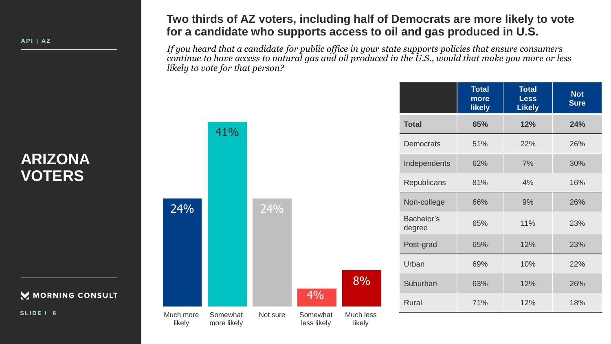**A P I | A Z**

### **ARIZONA VOTERS**

M MORNING CONSULT

**S L I D E / 6**

### **Two thirds of AZ voters, including half of Democrats are more likely to vote for a candidate who supports access to oil and gas produced in U.S.**

*If you heard that a candidate for public office in your state supports policies that ensure consumers continue to have access to natural gas and oil produced in the U.S., would that make you more or less likely to vote for that person?*

|                      | <b>Total</b><br>more<br><b>likely</b> | <b>Total</b><br><b>Less</b><br><b>Likely</b> | <b>Not</b><br><b>Sure</b> |
|----------------------|---------------------------------------|----------------------------------------------|---------------------------|
| <b>Total</b>         | 65%                                   | 12%                                          | 24%                       |
| <b>Democrats</b>     | 51%                                   | 22%                                          | 26%                       |
| Independents         | 62%                                   | 7%                                           | 30%                       |
| Republicans          | 81%                                   | 4%                                           | 16%                       |
| Non-college          | 66%                                   | 9%                                           | 26%                       |
| Bachelor's<br>degree | 65%                                   | 11%                                          | 23%                       |
| Post-grad            | 65%                                   | 12%                                          | 23%                       |
| Urban                | 69%                                   | 10%                                          | 22%                       |
| Suburban             | 63%                                   | 12%                                          | 26%                       |
| <b>Rural</b>         | 71%                                   | 12%                                          | 18%                       |

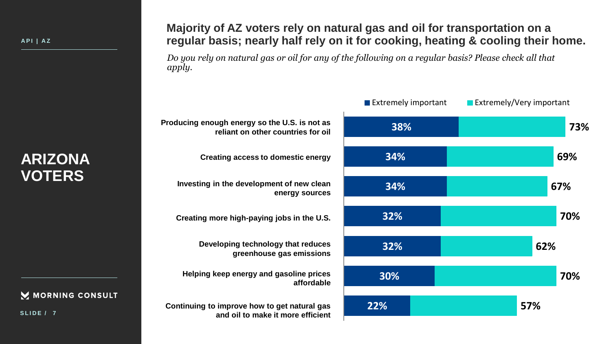M MORNING CONSULT

**S L I D E / 7**

### **Majority of AZ voters rely on natural gas and oil for transportation on a regular basis; nearly half rely on it for cooking, heating & cooling their home.**

*Do you rely on natural gas or oil for any of the following on a regular basis? Please check all that apply.*

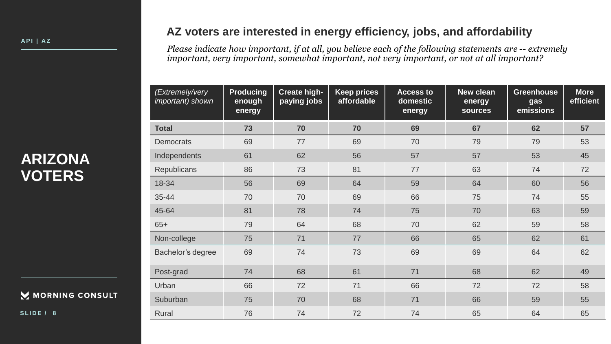#### MORNING CONSULT

**S L I D E / 8**

#### **AZ voters are interested in energy efficiency, jobs, and affordability**

*Please indicate how important, if at all, you believe each of the following statements are -- extremely important, very important, somewhat important, not very important, or not at all important?*

| (Extremely/very<br>important) shown | <b>Producing</b><br>enough<br>energy | <b>Create high-</b><br>paying jobs | <b>Keep prices</b><br>affordable | <b>Access to</b><br>domestic<br>energy | <b>New clean</b><br>energy<br><b>sources</b> | <b>Greenhouse</b><br>gas<br>emissions | <b>More</b><br>efficient |
|-------------------------------------|--------------------------------------|------------------------------------|----------------------------------|----------------------------------------|----------------------------------------------|---------------------------------------|--------------------------|
| <b>Total</b>                        | 73                                   | 70                                 | 70                               | 69                                     | 67                                           | 62                                    | 57                       |
| <b>Democrats</b>                    | 69                                   | 77                                 | 69                               | 70                                     | 79                                           | 79                                    | 53                       |
| Independents                        | 61                                   | 62                                 | 56                               | 57                                     | 57                                           | 53                                    | 45                       |
| Republicans                         | 86                                   | 73                                 | 81                               | 77                                     | 63                                           | 74                                    | 72                       |
| 18-34                               | 56                                   | 69                                 | 64                               | 59                                     | 64                                           | 60                                    | 56                       |
| 35-44                               | 70                                   | 70                                 | 69                               | 66                                     | 75                                           | 74                                    | 55                       |
| 45-64                               | 81                                   | 78                                 | 74                               | 75                                     | 70                                           | 63                                    | 59                       |
| $65+$                               | 79                                   | 64                                 | 68                               | 70                                     | 62                                           | 59                                    | 58                       |
| Non-college                         | 75                                   | 71                                 | 77                               | 66                                     | 65                                           | 62                                    | 61                       |
| Bachelor's degree                   | 69                                   | 74                                 | 73                               | 69                                     | 69                                           | 64                                    | 62                       |
| Post-grad                           | 74                                   | 68                                 | 61                               | 71                                     | 68                                           | 62                                    | 49                       |
| Urban                               | 66                                   | 72                                 | 71                               | 66                                     | 72                                           | 72                                    | 58                       |
| Suburban                            | 75                                   | 70                                 | 68                               | 71                                     | 66                                           | 59                                    | 55                       |
| Rural                               | 76                                   | 74                                 | 72                               | 74                                     | 65                                           | 64                                    | 65                       |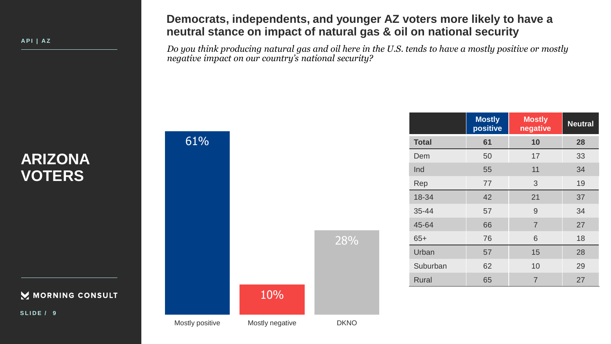**A P I | A Z**

### **Democrats, independents, and younger AZ voters more likely to have a neutral stance on impact of natural gas & oil on national security**

*Do you think producing natural gas and oil here in the U.S. tends to have a mostly positive or mostly negative impact on our country's national security?*

| <b>ARIZONA</b> |
|----------------|
| <b>VOTERS</b>  |

MORNING CONSULT

**S L I D E / 9**



|              | <b>Mostly</b><br>positive | <b>Mostly</b><br>negative | <b>Neutral</b> |
|--------------|---------------------------|---------------------------|----------------|
| Total        | 61                        | 10                        | 28             |
| Dem          | 50                        | 17                        | 33             |
| Ind          | 55                        | 11                        | 34             |
| Rep          | 77                        | 3                         | 19             |
| 18-34        | 42                        | 21                        | 37             |
| 35-44        | 57                        | 9                         | 34             |
| 45-64        | 66                        | $\overline{7}$            | 27             |
| $65+$        | 76                        | 6                         | 18             |
| Urban        | 57                        | 15                        | 28             |
| Suburban     | 62                        | 10                        | 29             |
| <b>Rural</b> | 65                        | $\overline{7}$            | 27             |
|              |                           |                           |                |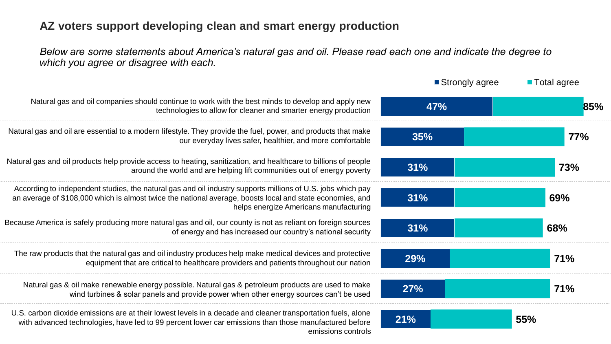### **AZ voters support developing clean and smart energy production**

*Below are some statements about America's natural gas and oil. Please read each one and indicate the degree to which you agree or disagree with each.*

|                                                                                                                                                                                                                                                                    | ■ Strongly agree | <b>Total agree</b> |
|--------------------------------------------------------------------------------------------------------------------------------------------------------------------------------------------------------------------------------------------------------------------|------------------|--------------------|
| Natural gas and oil companies should continue to work with the best minds to develop and apply new<br>technologies to allow for cleaner and smarter energy production                                                                                              | 47%              | 85%                |
| Natural gas and oil are essential to a modern lifestyle. They provide the fuel, power, and products that make<br>our everyday lives safer, healthier, and more comfortable                                                                                         | 35%              | 77%                |
| Natural gas and oil products help provide access to heating, sanitization, and healthcare to billions of people<br>around the world and are helping lift communities out of energy poverty                                                                         | 31%              | 73%                |
| According to independent studies, the natural gas and oil industry supports millions of U.S. jobs which pay<br>an average of \$108,000 which is almost twice the national average, boosts local and state economies, and<br>helps energize Americans manufacturing | 31%              | 69%                |
| Because America is safely producing more natural gas and oil, our county is not as reliant on foreign sources<br>of energy and has increased our country's national security                                                                                       | 31%              | 68%                |
| The raw products that the natural gas and oil industry produces help make medical devices and protective<br>equipment that are critical to healthcare providers and patients throughout our nation                                                                 | 29%              | <b>71%</b>         |
| Natural gas & oil make renewable energy possible. Natural gas & petroleum products are used to make<br>wind turbines & solar panels and provide power when other energy sources can't be used                                                                      | 27%              | 71%                |
| U.S. carbon dioxide emissions are at their lowest levels in a decade and cleaner transportation fuels, alone<br>with advanced technologies, have led to 99 percent lower car emissions than those manufactured before<br>emissions controls                        | 21%              | 55%                |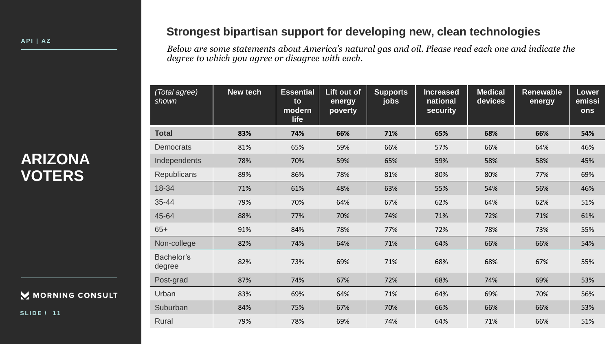#### MORNING CONSULT

**S L I D E / 1 1**

### **Strongest bipartisan support for developing new, clean technologies**

*Below are some statements about America's natural gas and oil. Please read each one and indicate the degree to which you agree or disagree with each.*

| (Total agree)<br>shown | New tech | <b>Essential</b><br>to<br>modern<br>life | Lift out of<br>energy<br>poverty | <b>Supports</b><br>jobs | <b>Increased</b><br>national<br>security | <b>Medical</b><br>devices | <b>Renewable</b><br>energy | <b>Lower</b><br>emissi<br>ons |
|------------------------|----------|------------------------------------------|----------------------------------|-------------------------|------------------------------------------|---------------------------|----------------------------|-------------------------------|
| <b>Total</b>           | 83%      | 74%                                      | 66%                              | 71%                     | 65%                                      | 68%                       | 66%                        | 54%                           |
| <b>Democrats</b>       | 81%      | 65%                                      | 59%                              | 66%                     | 57%                                      | 66%                       | 64%                        | 46%                           |
| Independents           | 78%      | 70%                                      | 59%                              | 65%                     | 59%                                      | 58%                       | 58%                        | 45%                           |
| <b>Republicans</b>     | 89%      | 86%                                      | 78%                              | 81%                     | 80%                                      | 80%                       | 77%                        | 69%                           |
| 18-34                  | 71%      | 61%                                      | 48%                              | 63%                     | 55%                                      | 54%                       | 56%                        | 46%                           |
| 35-44                  | 79%      | 70%                                      | 64%                              | 67%                     | 62%                                      | 64%                       | 62%                        | 51%                           |
| 45-64                  | 88%      | 77%                                      | 70%                              | 74%                     | 71%                                      | 72%                       | 71%                        | 61%                           |
| $65+$                  | 91%      | 84%                                      | 78%                              | 77%                     | 72%                                      | 78%                       | 73%                        | 55%                           |
| Non-college            | 82%      | 74%                                      | 64%                              | 71%                     | 64%                                      | 66%                       | 66%                        | 54%                           |
| Bachelor's<br>degree   | 82%      | 73%                                      | 69%                              | 71%                     | 68%                                      | 68%                       | 67%                        | 55%                           |
| Post-grad              | 87%      | 74%                                      | 67%                              | 72%                     | 68%                                      | 74%                       | 69%                        | 53%                           |
| Urban                  | 83%      | 69%                                      | 64%                              | 71%                     | 64%                                      | 69%                       | 70%                        | 56%                           |
| Suburban               | 84%      | 75%                                      | 67%                              | 70%                     | 66%                                      | 66%                       | 66%                        | 53%                           |
| Rural                  | 79%      | 78%                                      | 69%                              | 74%                     | 64%                                      | 71%                       | 66%                        | 51%                           |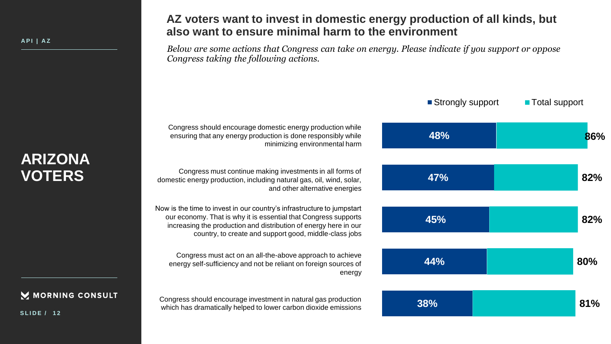#### M MORNING CONSULT

**S L I D E / 1 2**

### **AZ voters want to invest in domestic energy production of all kinds, but also want to ensure minimal harm to the environment**

*Below are some actions that Congress can take on energy. Please indicate if you support or oppose Congress taking the following actions.*

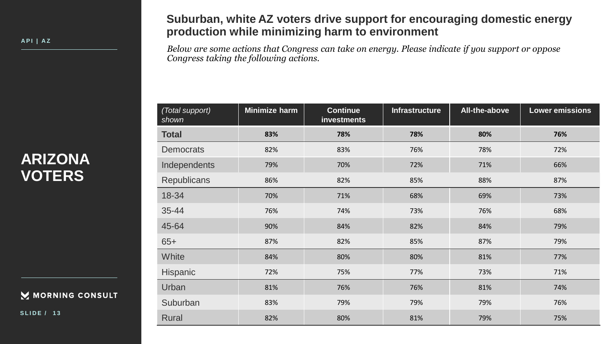**A P I | A Z**

#### **Suburban, white AZ voters drive support for encouraging domestic energy production while minimizing harm to environment**

*Below are some actions that Congress can take on energy. Please indicate if you support or oppose Congress taking the following actions.*

# **ARIZONA VOTERS**

MORNING CONSULT

**S L I D E / 1 3**

| (Total support)<br>shown | Minimize harm | <b>Continue</b><br>investments | <b>Infrastructure</b> | All-the-above | <b>Lower emissions</b> |
|--------------------------|---------------|--------------------------------|-----------------------|---------------|------------------------|
| <b>Total</b>             | 83%           | 78%                            | 78%                   | 80%           | 76%                    |
| <b>Democrats</b>         | 82%           | 83%                            | 76%                   | 78%           | 72%                    |
| Independents             | 79%           | 70%                            | 72%                   | 71%           | 66%                    |
| <b>Republicans</b>       | 86%           | 82%                            | 85%                   | 88%           | 87%                    |
| 18-34                    | 70%           | 71%                            | 68%                   | 69%           | 73%                    |
| 35-44                    | 76%           | 74%                            | 73%                   | 76%           | 68%                    |
| 45-64                    | 90%           | 84%                            | 82%                   | 84%           | 79%                    |
| $65+$                    | 87%           | 82%                            | 85%                   | 87%           | 79%                    |
| White                    | 84%           | 80%                            | 80%                   | 81%           | 77%                    |
| Hispanic                 | 72%           | 75%                            | 77%                   | 73%           | 71%                    |
| Urban                    | 81%           | 76%                            | 76%                   | 81%           | 74%                    |
| Suburban                 | 83%           | 79%                            | 79%                   | 79%           | 76%                    |
| <b>Rural</b>             | 82%           | 80%                            | 81%                   | 79%           | 75%                    |